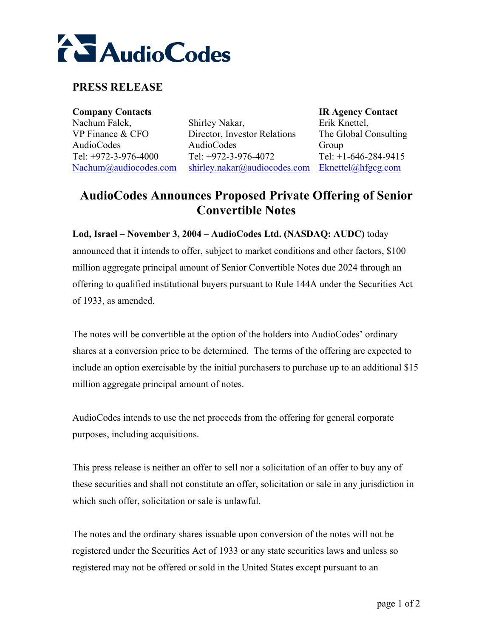

## **PRESS RELEASE**

**Company Contacts IR Agency Contact**  Nachum Falek, VP Finance & CFO AudioCodes Tel: +972-3-976-4000 Nachum@audiocodes.com

Shirley Nakar, Director, Investor Relations AudioCodes Tel: +972-3-976-4072 shirley.nakar@audiocodes.com Eknettel@hfgcg.com

Erik Knettel, The Global Consulting Group Tel: +1-646-284-9415

## **AudioCodes Announces Proposed Private Offering of Senior Convertible Notes**

**Lod, Israel – November 3, 2004 – AudioCodes Ltd. (NASDAQ: AUDC)** today announced that it intends to offer, subject to market conditions and other factors, \$100 million aggregate principal amount of Senior Convertible Notes due 2024 through an offering to qualified institutional buyers pursuant to Rule 144A under the Securities Act of 1933, as amended.

The notes will be convertible at the option of the holders into AudioCodes' ordinary shares at a conversion price to be determined. The terms of the offering are expected to include an option exercisable by the initial purchasers to purchase up to an additional \$15 million aggregate principal amount of notes.

AudioCodes intends to use the net proceeds from the offering for general corporate purposes, including acquisitions.

This press release is neither an offer to sell nor a solicitation of an offer to buy any of these securities and shall not constitute an offer, solicitation or sale in any jurisdiction in which such offer, solicitation or sale is unlawful.

The notes and the ordinary shares issuable upon conversion of the notes will not be registered under the Securities Act of 1933 or any state securities laws and unless so registered may not be offered or sold in the United States except pursuant to an